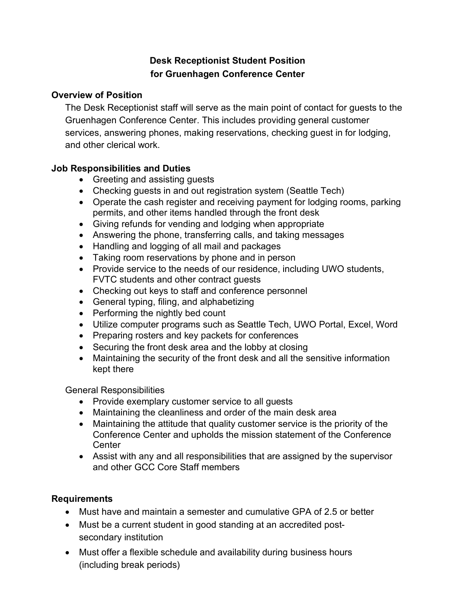# **Desk Receptionist Student Position for Gruenhagen Conference Center**

### **Overview of Position**

The Desk Receptionist staff will serve as the main point of contact for guests to the Gruenhagen Conference Center. This includes providing general customer services, answering phones, making reservations, checking guest in for lodging, and other clerical work.

### **Job Responsibilities and Duties**

- Greeting and assisting guests
- Checking guests in and out registration system (Seattle Tech)
- Operate the cash register and receiving payment for lodging rooms, parking permits, and other items handled through the front desk
- Giving refunds for vending and lodging when appropriate
- Answering the phone, transferring calls, and taking messages
- Handling and logging of all mail and packages
- Taking room reservations by phone and in person
- Provide service to the needs of our residence, including UWO students, FVTC students and other contract guests
- Checking out keys to staff and conference personnel
- General typing, filing, and alphabetizing
- Performing the nightly bed count
- Utilize computer programs such as Seattle Tech, UWO Portal, Excel, Word
- Preparing rosters and key packets for conferences
- Securing the front desk area and the lobby at closing
- Maintaining the security of the front desk and all the sensitive information kept there

#### General Responsibilities

- Provide exemplary customer service to all guests
- Maintaining the cleanliness and order of the main desk area
- Maintaining the attitude that quality customer service is the priority of the Conference Center and upholds the mission statement of the Conference **Center**
- Assist with any and all responsibilities that are assigned by the supervisor and other GCC Core Staff members

### **Requirements**

- Must have and maintain a semester and cumulative GPA of 2.5 or better
- Must be a current student in good standing at an accredited postsecondary institution
- Must offer a flexible schedule and availability during business hours (including break periods)